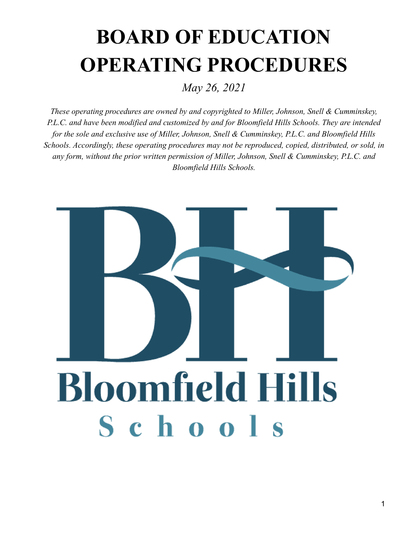# **BOARD OF EDUCATION OPERATING PROCEDURES**

*May 26, 2021*

*These operating procedures are owned by and copyrighted to Miller, Johnson, Snell & Cumminskey, P.L.C. and have been modified and customized by and for Bloomfield Hills Schools. They are intended for the sole and exclusive use of Miller, Johnson, Snell & Cumminskey, P.L.C. and Bloomfield Hills Schools. Accordingly, these operating procedures may not be reproduced, copied, distributed, or sold, in any form, without the prior written permission of Miller, Johnson, Snell & Cumminskey, P.L.C. and Bloomfield Hills Schools.*

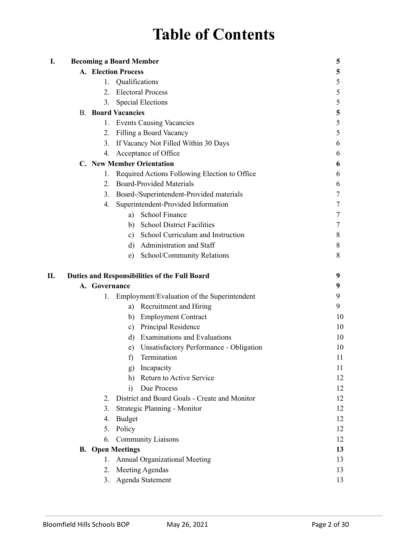# **Table of Contents**

| I. |                  | <b>Becoming a Board Member</b>                       | 5  |
|----|------------------|------------------------------------------------------|----|
|    |                  | <b>A. Election Process</b>                           | 5  |
|    | 1.               | Qualifications                                       | 5  |
|    |                  | 2. Electoral Process                                 | 5  |
|    | 3 <sub>1</sub>   | <b>Special Elections</b>                             | 5  |
|    |                  | <b>B.</b> Board Vacancies                            | 5  |
|    | 1.               | <b>Events Causing Vacancies</b>                      | 5  |
|    | 2.               | Filling a Board Vacancy                              | 5  |
|    | $3_{-}$          | If Vacancy Not Filled Within 30 Days                 | 6  |
|    | 4.               | Acceptance of Office                                 | 6  |
|    |                  | <b>C.</b> New Member Orientation                     | 6  |
|    | 1.               | Required Actions Following Election to Office        | 6  |
|    | $\overline{2}$ . | <b>Board-Provided Materials</b>                      | 6  |
|    | 3.               | Board-/Superintendent-Provided materials             | 7  |
|    | 4.               | Superintendent-Provided Information                  | 7  |
|    |                  | a) School Finance                                    | 7  |
|    |                  | <b>School District Facilities</b><br>b)              | 7  |
|    |                  | c) School Curriculum and Instruction                 | 8  |
|    |                  | d) Administration and Staff                          | 8  |
|    |                  | School/Community Relations<br>e)                     | 8  |
| П. |                  | <b>Duties and Responsibilities of the Full Board</b> | 9  |
|    | A. Governance    |                                                      | 9  |
|    | 1.               | Employment/Evaluation of the Superintendent          | 9  |
|    |                  | a) Recruitment and Hiring                            | 9  |
|    |                  | <b>Employment Contract</b><br>b)                     | 10 |
|    |                  | Principal Residence<br>c)                            | 10 |
|    |                  | <b>Examinations and Evaluations</b><br>d)            | 10 |
|    |                  | Unsatisfactory Performance - Obligation<br>e)        | 10 |
|    |                  | Termination<br>f                                     | 11 |
|    |                  | Incapacity<br>g)                                     | 11 |
|    |                  | Return to Active Service<br>h)                       | 12 |
|    |                  | Due Process<br>$\ddot{1}$                            | 12 |
|    | 2                | District and Board Goals - Create and Monitor        | 12 |
|    | 3.               | Strategic Planning - Monitor                         | 12 |
|    | 4.               | <b>Budget</b>                                        | 12 |
|    | 5.               | Policy                                               | 12 |
|    | 6.               | <b>Community Liaisons</b>                            | 12 |
|    |                  | <b>B.</b> Open Meetings                              | 13 |
|    | 1.               | <b>Annual Organizational Meeting</b>                 | 13 |
|    | 2.               | <b>Meeting Agendas</b>                               | 13 |
|    | 3.               | Agenda Statement                                     | 13 |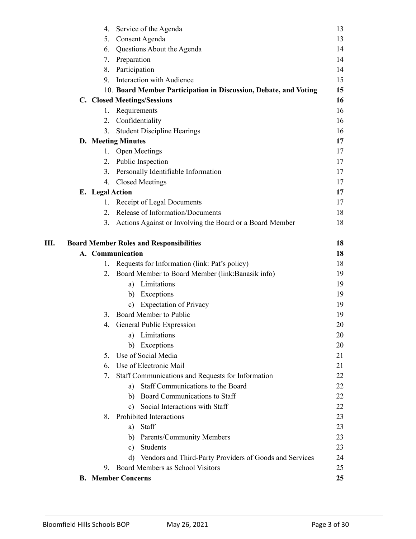| 4.              | Service of the Agenda                                            | 13 |
|-----------------|------------------------------------------------------------------|----|
|                 | Consent Agenda<br>5.                                             | 13 |
|                 | 6. Questions About the Agenda                                    | 14 |
|                 | Preparation<br>7.                                                | 14 |
|                 | 8. Participation                                                 | 14 |
|                 | <b>Interaction with Audience</b><br>9.                           | 15 |
|                 | 10. Board Member Participation in Discussion, Debate, and Voting | 15 |
|                 | C. Closed Meetings/Sessions                                      | 16 |
|                 | Requirements<br>1.                                               | 16 |
|                 | Confidentiality<br>2.                                            | 16 |
|                 | <b>Student Discipline Hearings</b><br>3.                         | 16 |
|                 | <b>D.</b> Meeting Minutes                                        | 17 |
|                 | 1. Open Meetings                                                 | 17 |
|                 | 2. Public Inspection                                             | 17 |
|                 | 3. Personally Identifiable Information                           | 17 |
| 4.              | <b>Closed Meetings</b>                                           | 17 |
| E. Legal Action |                                                                  | 17 |
|                 | Receipt of Legal Documents<br>1.                                 | 17 |
|                 | Release of Information/Documents<br>$\overline{2}$               | 18 |
| 3.              | Actions Against or Involving the Board or a Board Member         | 18 |
| Ш.              | <b>Board Member Roles and Responsibilities</b>                   | 18 |
|                 | A. Communication                                                 | 18 |
| 1.              | Requests for Information (link: Pat's policy)                    | 18 |
|                 | Board Member to Board Member (link: Banasik info)<br>2.          | 19 |
|                 | a) Limitations                                                   | 19 |
|                 | b) Exceptions                                                    | 19 |
|                 | <b>Expectation of Privacy</b><br>c)                              | 19 |
| 3.              | Board Member to Public                                           | 19 |
| 4.              | General Public Expression                                        | 20 |
|                 | Limitations<br>a)                                                | 20 |
|                 | Exceptions<br>b)                                                 | 20 |
| $5_{-}$         | Use of Social Media                                              | 21 |
| 6.              | Use of Electronic Mail                                           | 21 |
| 7.              | Staff Communications and Requests for Information                | 22 |
|                 | Staff Communications to the Board<br>a)                          | 22 |
|                 | b) Board Communications to Staff                                 | 22 |
|                 | Social Interactions with Staff<br>$\mathbf{c}$ )                 | 22 |
| 8.              | Prohibited Interactions                                          | 23 |
|                 | Staff<br>a)                                                      | 23 |
|                 | b) Parents/Community Members                                     | 23 |
|                 | Students<br>c)                                                   | 23 |
|                 | d) Vendors and Third-Party Providers of Goods and Services       | 24 |
| 9.              | Board Members as School Visitors                                 | 25 |
|                 | <b>B.</b> Member Concerns                                        | 25 |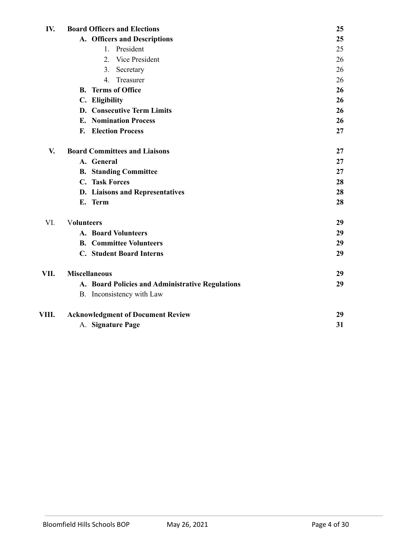| IV.   | <b>Board Officers and Elections</b>              | 25       |
|-------|--------------------------------------------------|----------|
|       | A. Officers and Descriptions                     | 25       |
|       | President<br>$1_{-}$                             | 25       |
|       | 2. Vice President                                | 26       |
|       | 3.<br>Secretary                                  | 26       |
|       | Treasurer<br>4.                                  | 26       |
|       | <b>Terms of Office</b><br>B.                     | 26       |
|       | C. Eligibility                                   | 26       |
|       | D. Consecutive Term Limits                       | 26<br>26 |
|       | <b>E.</b> Nomination Process                     |          |
|       | <b>Election Process</b><br>F.                    | 27       |
| V.    | <b>Board Committees and Liaisons</b>             | 27       |
|       | A. General                                       | 27       |
|       | <b>B.</b> Standing Committee                     | 27       |
|       | C. Task Forces                                   | 28       |
|       | D. Liaisons and Representatives                  | 28       |
|       | E. Term                                          | 28       |
| VI.   | <b>Volunteers</b>                                | 29       |
|       | <b>A. Board Volunteers</b>                       | 29       |
|       | <b>B.</b> Committee Volunteers                   | 29       |
|       | <b>C.</b> Student Board Interns                  | 29       |
| VII.  | <b>Miscellaneous</b>                             | 29       |
|       | A. Board Policies and Administrative Regulations | 29       |
|       | B. Inconsistency with Law                        |          |
| VIII. | <b>Acknowledgment of Document Review</b>         | 29       |
|       | A. Signature Page                                | 31       |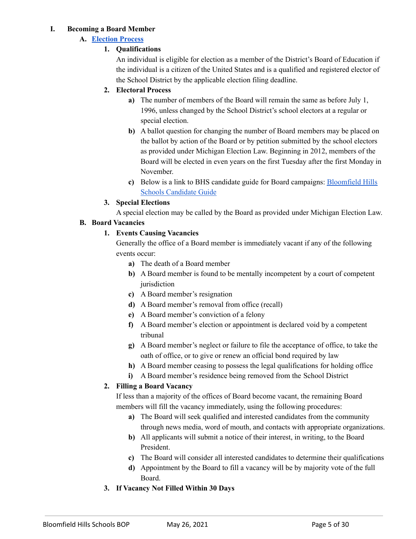#### **I. Becoming a Board Member**

#### **A. [Election](https://drive.google.com/file/d/1m8bpp3NAINyB-OQglQunMCdoKCsZXYle/view) Process**

# **1. Qualifications**

An individual is eligible for election as a member of the District's Board of Education if the individual is a citizen of the United States and is a qualified and registered elector of the School District by the applicable election filing deadline.

# **2. Electoral Process**

- **a)** The number of members of the Board will remain the same as before July 1, 1996, unless changed by the School District's school electors at a regular or special election.
- **b)** A ballot question for changing the number of Board members may be placed on the ballot by action of the Board or by petition submitted by the school electors as provided under Michigan Election Law. Beginning in 2012, members of the Board will be elected in even years on the first Tuesday after the first Monday in November.
- **c)** Below is a link to BHS candidate guide for Board campaigns: [Bloomfield](https://drive.google.com/file/d/1m8bpp3NAINyB-OQglQunMCdoKCsZXYle/view) Hills Schools [Candidate](https://drive.google.com/file/d/1m8bpp3NAINyB-OQglQunMCdoKCsZXYle/view) Guide

# **3. Special Elections**

A special election may be called by the Board as provided under Michigan Election Law.

# **B. Board Vacancies**

# **1. Events Causing Vacancies**

Generally the office of a Board member is immediately vacant if any of the following events occur:

- **a)** The death of a Board member
- **b)** A Board member is found to be mentally incompetent by a court of competent iurisdiction
- **c)** A Board member's resignation
- **d)** A Board member's removal from office (recall)
- **e)** A Board member's conviction of a felony
- **f)** A Board member's election or appointment is declared void by a competent tribunal
- **g)** A Board member's neglect or failure to file the acceptance of office, to take the oath of office, or to give or renew an official bond required by law
- **h)** A Board member ceasing to possess the legal qualifications for holding office
- **i)** A Board member's residence being removed from the School District

# **2. Filling a Board Vacancy**

If less than a majority of the offices of Board become vacant, the remaining Board members will fill the vacancy immediately, using the following procedures:

- **a)** The Board will seek qualified and interested candidates from the community through news media, word of mouth, and contacts with appropriate organizations.
- **b)** All applicants will submit a notice of their interest, in writing, to the Board President.
- **c)** The Board will consider all interested candidates to determine their qualifications
- **d)** Appointment by the Board to fill a vacancy will be by majority vote of the full Board.
- **3. If Vacancy Not Filled Within 30 Days**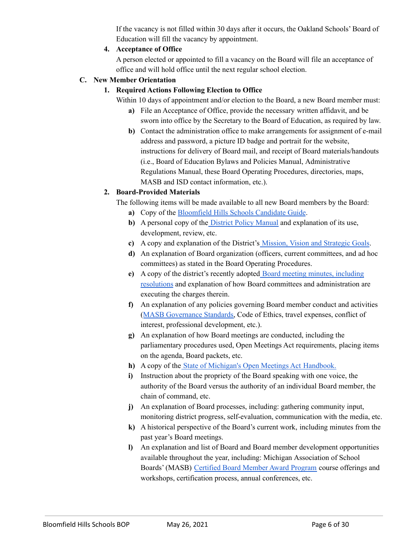If the vacancy is not filled within 30 days after it occurs, the Oakland Schools' Board of Education will fill the vacancy by appointment.

#### **4. Acceptance of Office**

A person elected or appointed to fill a vacancy on the Board will file an acceptance of office and will hold office until the next regular school election.

#### **C. New Member Orientation**

#### **1. Required Actions Following Election to Office**

Within 10 days of appointment and/or election to the Board, a new Board member must:

- **a)** File an Acceptance of Office, provide the necessary written affidavit, and be sworn into office by the Secretary to the Board of Education, as required by law.
- **b)** Contact the administration office to make arrangements for assignment of e-mail address and password, a picture ID badge and portrait for the website, instructions for delivery of Board mail, and receipt of Board materials/handouts (i.e., Board of Education Bylaws and Policies Manual, Administrative Regulations Manual, these Board Operating Procedures, directories, maps, MASB and ISD contact information, etc.).

# **2. Board-Provided Materials**

The following items will be made available to all new Board members by the Board:

- **a)** Copy of the [Bloomfield](https://drive.google.com/file/d/1m8bpp3NAINyB-OQglQunMCdoKCsZXYle/view) Hills Schools Candidate Guide.
- **b)** A personal copy of the District Policy [Manual](https://www.bloomfield.org/about-us/board-of-education/district-policy-manual) and explanation of its use, development, review, etc.
- **c)** A copy and explanation of the District's Mission, Vision and [Strategic](https://www.bloomfield.org/about-us/mission-vision) Goals.
- **d)** An explanation of Board organization (officers, current committees, and ad hoc committees) as stated in the Board Operating Procedures.
- **e)** A copy of the district's recently adopted Board meeting minutes, [including](https://bloomfieldhills.novusagenda.com/agendaintranet/) [resolutions](https://bloomfieldhills.novusagenda.com/agendaintranet/) and explanation of how Board committees and administration are executing the charges therein.
- **f)** An explanation of any policies governing Board member conduct and activities (MASB [Governance](https://drive.google.com/file/d/1LPnDF5BsX0F1gjmTt2iaqcuYASdDNZpv/view?usp=sharing) Standards, Code of Ethics, travel expenses, conflict of interest, professional development, etc.).
- **g)** An explanation of how Board meetings are conducted, including the parliamentary procedures used, Open Meetings Act requirements, placing items on the agenda, Board packets, etc.
- **h)** A copy of the State of Michigan's Open Meetings Act [Handbook.](https://www.michigan.gov/documents/ag/OMA_handbook_287134_7.pdf)
- **i)** Instruction about the propriety of the Board speaking with one voice, the authority of the Board versus the authority of an individual Board member, the chain of command, etc.
- **j)** An explanation of Board processes, including: gathering community input, monitoring district progress, self-evaluation, communication with the media, etc.
- **k)** A historical perspective of the Board's current work, including minutes from the past year's Board meetings.
- **l)** An explanation and list of Board and Board member development opportunities available throughout the year, including: Michigan Association of School Boards' (MASB) [Certified](https://www.masb.org/cba-program.aspx) Board Member Award Program course offerings and workshops, certification process, annual conferences, etc.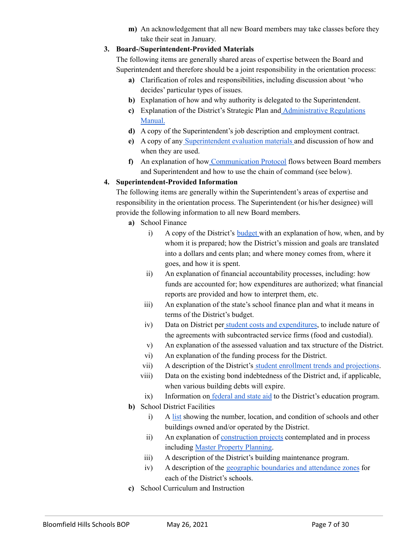**m)** An acknowledgement that all new Board members may take classes before they take their seat in January.

#### **3. Board-/Superintendent-Provided Materials**

The following items are generally shared areas of expertise between the Board and Superintendent and therefore should be a joint responsibility in the orientation process:

- **a)** Clarification of roles and responsibilities, including discussion about 'who decides' particular types of issues.
- **b)** Explanation of how and why authority is delegated to the Superintendent.
- **c)** Explanation of the District's Strategic Plan and [Administrative](https://drive.google.com/file/d/1xaIieXlJMuQXeJnwdFwk1vJt3FKzp_XQ/view) Regulations [Manual.](https://drive.google.com/file/d/1xaIieXlJMuQXeJnwdFwk1vJt3FKzp_XQ/view)
- **d)** A copy of the Superintendent's job description and employment contract.
- **e)** A copy of any [Superintendent](https://www.masb.org/superintendents.aspx) evaluation materials and discussion of how and when they are used.
- **f)** An explanation of how [Communication](https://drive.google.com/file/d/1SmIowPrh35kuOWSkfnhSsKFdMGinKIUo/view) Protocol flows between Board members and Superintendent and how to use the chain of command (see below).

# **4. Superintendent-Provided Information**

The following items are generally within the Superintendent's areas of expertise and responsibility in the orientation process. The Superintendent (or his/her designee) will provide the following information to all new Board members.

- **a)** School Finance
	- i) A copy of the District's [budget](https://secure.munetrix.com/n/Michigan/Schools/GDR/Oakland-Schools/District/Bloomfield-Hills-Schools) with an explanation of how, when, and by whom it is prepared; how the District's mission and goals are translated into a dollars and cents plan; and where money comes from, where it goes, and how it is spent.
	- ii) An explanation of financial accountability processes, including: how funds are accounted for; how expenditures are authorized; what financial reports are provided and how to interpret them, etc.
	- iii) An explanation of the state's school finance plan and what it means in terms of the District's budget.
	- iv) Data on District per student costs and [expenditures,](https://secure.munetrix.com/n/Michigan/Schools/GDR/Oakland-Schools/District/Bloomfield-Hills-Schools) to include nature of the agreements with subcontracted service firms (food and custodial).
	- v) An explanation of the assessed valuation and tax structure of the District.
	- vi) An explanation of the funding process for the District.
	- vii) A description of the District's student enrollment trends and [projections](https://secure.munetrix.com/n/Michigan/Schools/GDR/Oakland-Schools/District/Bloomfield-Hills-Schools).
	- viii) Data on the existing bond indebtedness of the District and, if applicable, when various building debts will expire.
	- ix) Information on [federal](https://secure.munetrix.com/n/Michigan/Schools/GDR/Oakland-Schools/District/Bloomfield-Hills-Schools) and state aid to the District's education program.
- **b)** School District Facilities
	- i) A [list](https://www.bloomfield.org/contact-us) showing the number, location, and condition of schools and other buildings owned and/or operated by the District.
	- ii) An explanation of [construction](https://www.bloomfield.org/bond-information/bond) projects contemplated and in process including Master Property [Planning](https://www.bloomfield.org/about-us/bond-information/master-property-planning).
	- iii) A description of the District's building maintenance program.
	- iv) A description of the [geographic](https://www.bloomfield.org/why-bloomfield/enrollment-options) boundaries and attendance zones for each of the District's schools.
- **c)** School Curriculum and Instruction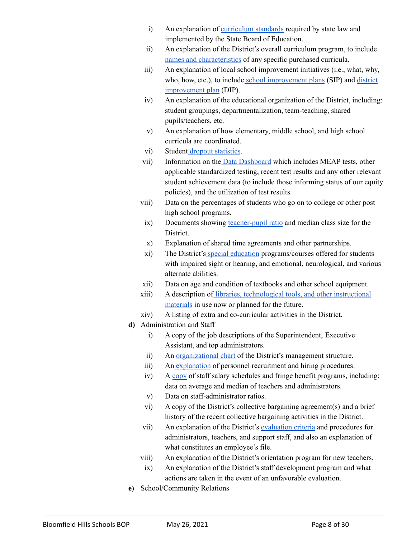- i) An explanation of [curriculum](https://www.michigan.gov/mde/0,4615,7-140-28753---,00.html) standards required by state law and implemented by the State Board of Education.
- ii) An explanation of the District's overall curriculum program, to include names and [characteristics](https://www.bloomfield.org/departments/learning-services/bhs-data-dashboard) of any specific purchased curricula.
- iii) An explanation of local school improvement initiatives (i.e., what, why, who, how, etc.), to include school [improvement](https://www.bloomfield.org/departments/learning-services/annualreports) plans (SIP) and [district](https://www.bloomfield.org/departments/learning-services/annualreports) [improvement](https://www.bloomfield.org/departments/learning-services/annualreports) plan (DIP).
- iv) An explanation of the educational organization of the District, including: student groupings, departmentalization, team-teaching, shared pupils/teachers, etc.
- v) An explanation of how elementary, middle school, and high school curricula are coordinated.
- vi) Student dropout [statistics](https://secure.munetrix.com/Michigan/Schools/GDR/Oakland-Schools/District/Bloomfield-Hills-Schools/managedashboard_sd/).
- vii) Information on the Data [Dashboard](https://www.bloomfield.org/departments/learning-services/bhs-data-dashboard) which includes MEAP tests, other applicable standardized testing, recent test results and any other relevant student achievement data (to include those informing status of our equity policies), and the utilization of test results.
- viii) Data on the percentages of students who go on to college or other post high school programs.
	- ix) Documents showing [teacher-pupil](https://secure.munetrix.com/Michigan/Schools/GDR/Oakland-Schools/District/Bloomfield-Hills-Schools/managedashboard_sd/) ratio and median class size for the District.
	- x) Explanation of shared time agreements and other partnerships.
	- xi) The District's special [education](https://www.bloomfield.org/departments/learning-services/curriculum-instruction/special-education) programs/courses offered for students with impaired sight or hearing, and emotional, neurological, and various alternate abilities.
- xii) Data on age and condition of textbooks and other school equipment.
- xiii) A description of libraries, [technological](https://www.bloomfield.org/departments/digital-media-services) tools, and other instructional [materials](https://www.bloomfield.org/departments/digital-media-services) in use now or planned for the future.
- xiv) A listing of extra and co-curricular activities in the District.
- **d)** Administration and Staff
	- i) A copy of the job descriptions of the Superintendent, Executive Assistant, and top administrators.
	- ii) An [organizational](https://secure.munetrix.com/n/Michigan/Schools/GDR/Oakland-Schools/District/Bloomfield-Hills-Schools) chart of the District's management structure.
	- iii) An [explanation](https://drive.google.com/file/d/17kSROl4UevNy-0mR2-tfWwiHEXSq5A8I/view) of personnel recruitment and hiring procedures.
	- iv) A [copy](https://secure.munetrix.com/n/Michigan/Schools/GDR/Oakland-Schools/District/Bloomfield-Hills-Schools) of staff salary schedules and fringe benefit programs, including: data on average and median of teachers and administrators.
	- v) Data on staff-administrator ratios.
	- vi) A copy of the District's collective bargaining agreement(s) and a brief history of the recent collective bargaining activities in the District.
	- vii) An explanation of the District's [evaluation](https://secure.munetrix.com/n/Michigan/Schools/GDR/Oakland-Schools/District/Bloomfield-Hills-Schools) criteria and procedures for administrators, teachers, and support staff, and also an explanation of what constitutes an employee's file.
	- viii) An explanation of the District's orientation program for new teachers.
	- ix) An explanation of the District's staff development program and what actions are taken in the event of an unfavorable evaluation.
- **e)** School/Community Relations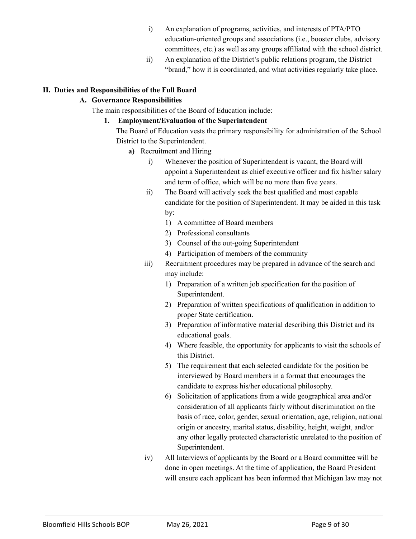- i) An explanation of programs, activities, and interests of PTA/PTO education-oriented groups and associations (i.e., booster clubs, advisory committees, etc.) as well as any groups affiliated with the school district.
- ii) An explanation of the District's public relations program, the District "brand," how it is coordinated, and what activities regularly take place.

# **II. Duties and Responsibilities of the Full Board**

#### **A. Governance Responsibilities**

The main responsibilities of the Board of Education include:

#### **1. Employment/Evaluation of the Superintendent**

The Board of Education vests the primary responsibility for administration of the School District to the Superintendent.

- **a)** Recruitment and Hiring
	- i) Whenever the position of Superintendent is vacant, the Board will appoint a Superintendent as chief executive officer and fix his/her salary and term of office, which will be no more than five years.
	- ii) The Board will actively seek the best qualified and most capable candidate for the position of Superintendent. It may be aided in this task by:
		- 1) A committee of Board members
			- 2) Professional consultants
			- 3) Counsel of the out-going Superintendent
			- 4) Participation of members of the community
	- iii) Recruitment procedures may be prepared in advance of the search and may include:
		- 1) Preparation of a written job specification for the position of Superintendent.
		- 2) Preparation of written specifications of qualification in addition to proper State certification.
		- 3) Preparation of informative material describing this District and its educational goals.
		- 4) Where feasible, the opportunity for applicants to visit the schools of this District.
		- 5) The requirement that each selected candidate for the position be interviewed by Board members in a format that encourages the candidate to express his/her educational philosophy.
		- 6) Solicitation of applications from a wide geographical area and/or consideration of all applicants fairly without discrimination on the basis of race, color, gender, sexual orientation, age, religion, national origin or ancestry, marital status, disability, height, weight, and/or any other legally protected characteristic unrelated to the position of Superintendent.
	- iv) All Interviews of applicants by the Board or a Board committee will be done in open meetings. At the time of application, the Board President will ensure each applicant has been informed that Michigan law may not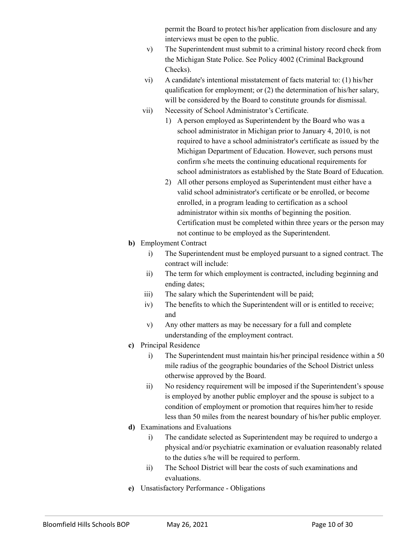permit the Board to protect his/her application from disclosure and any interviews must be open to the public.

- v) The Superintendent must submit to a criminal history record check from the Michigan State Police. See Policy 4002 (Criminal Background Checks).
- vi) A candidate's intentional misstatement of facts material to: (1) his/her qualification for employment; or (2) the determination of his/her salary, will be considered by the Board to constitute grounds for dismissal.
- vii) Necessity of School Administrator's Certificate.
	- 1) A person employed as Superintendent by the Board who was a school administrator in Michigan prior to January 4, 2010, is not required to have a school administrator's certificate as issued by the Michigan Department of Education. However, such persons must confirm s/he meets the continuing educational requirements for school administrators as established by the State Board of Education.
		- 2) All other persons employed as Superintendent must either have a valid school administrator's certificate or be enrolled, or become enrolled, in a program leading to certification as a school administrator within six months of beginning the position. Certification must be completed within three years or the person may not continue to be employed as the Superintendent.
- **b)** Employment Contract
	- i) The Superintendent must be employed pursuant to a signed contract. The contract will include:
	- ii) The term for which employment is contracted, including beginning and ending dates;
	- iii) The salary which the Superintendent will be paid;
	- iv) The benefits to which the Superintendent will or is entitled to receive; and
	- v) Any other matters as may be necessary for a full and complete understanding of the employment contract.
- **c)** Principal Residence
	- i) The Superintendent must maintain his/her principal residence within a 50 mile radius of the geographic boundaries of the School District unless otherwise approved by the Board.
	- ii) No residency requirement will be imposed if the Superintendent's spouse is employed by another public employer and the spouse is subject to a condition of employment or promotion that requires him/her to reside less than 50 miles from the nearest boundary of his/her public employer.
- **d)** Examinations and Evaluations
	- i) The candidate selected as Superintendent may be required to undergo a physical and/or psychiatric examination or evaluation reasonably related to the duties s/he will be required to perform.
	- ii) The School District will bear the costs of such examinations and evaluations.
- **e)** Unsatisfactory Performance Obligations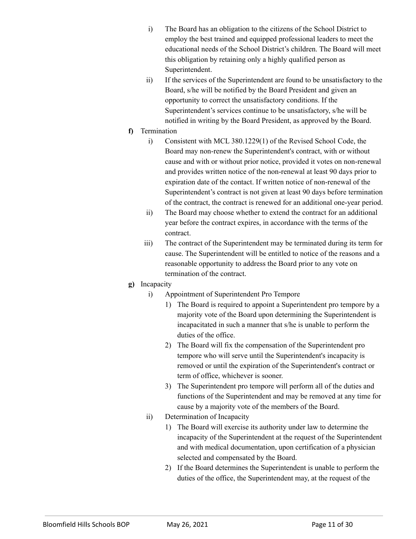- i) The Board has an obligation to the citizens of the School District to employ the best trained and equipped professional leaders to meet the educational needs of the School District's children. The Board will meet this obligation by retaining only a highly qualified person as Superintendent.
- ii) If the services of the Superintendent are found to be unsatisfactory to the Board, s/he will be notified by the Board President and given an opportunity to correct the unsatisfactory conditions. If the Superintendent's services continue to be unsatisfactory, s/he will be notified in writing by the Board President, as approved by the Board.
- **f)** Termination
	- i) Consistent with MCL 380.1229(1) of the Revised School Code, the Board may non-renew the Superintendent's contract, with or without cause and with or without prior notice, provided it votes on non-renewal and provides written notice of the non-renewal at least 90 days prior to expiration date of the contact. If written notice of non-renewal of the Superintendent's contract is not given at least 90 days before termination of the contract, the contract is renewed for an additional one-year period.
	- ii) The Board may choose whether to extend the contract for an additional year before the contract expires, in accordance with the terms of the contract.
	- iii) The contract of the Superintendent may be terminated during its term for cause. The Superintendent will be entitled to notice of the reasons and a reasonable opportunity to address the Board prior to any vote on termination of the contract.
- **g)** Incapacity
	- i) Appointment of Superintendent Pro Tempore
		- 1) The Board is required to appoint a Superintendent pro tempore by a majority vote of the Board upon determining the Superintendent is incapacitated in such a manner that s/he is unable to perform the duties of the office.
		- 2) The Board will fix the compensation of the Superintendent pro tempore who will serve until the Superintendent's incapacity is removed or until the expiration of the Superintendent's contract or term of office, whichever is sooner.
		- 3) The Superintendent pro tempore will perform all of the duties and functions of the Superintendent and may be removed at any time for cause by a majority vote of the members of the Board.
	- ii) Determination of Incapacity
		- 1) The Board will exercise its authority under law to determine the incapacity of the Superintendent at the request of the Superintendent and with medical documentation, upon certification of a physician selected and compensated by the Board.
		- 2) If the Board determines the Superintendent is unable to perform the duties of the office, the Superintendent may, at the request of the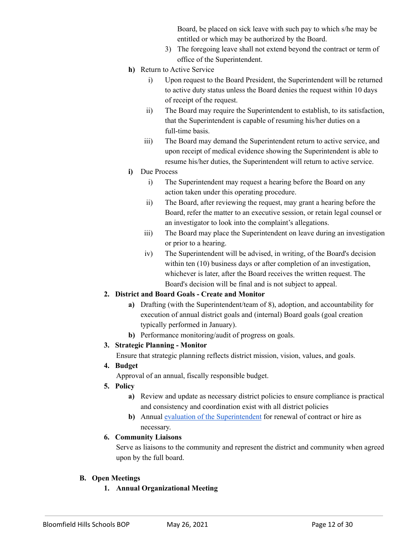Board, be placed on sick leave with such pay to which s/he may be entitled or which may be authorized by the Board.

- 3) The foregoing leave shall not extend beyond the contract or term of office of the Superintendent.
- **h)** Return to Active Service
	- i) Upon request to the Board President, the Superintendent will be returned to active duty status unless the Board denies the request within 10 days of receipt of the request.
	- ii) The Board may require the Superintendent to establish, to its satisfaction, that the Superintendent is capable of resuming his/her duties on a full-time basis.
	- iii) The Board may demand the Superintendent return to active service, and upon receipt of medical evidence showing the Superintendent is able to resume his/her duties, the Superintendent will return to active service.
- **i)** Due Process
	- i) The Superintendent may request a hearing before the Board on any action taken under this operating procedure.
	- ii) The Board, after reviewing the request, may grant a hearing before the Board, refer the matter to an executive session, or retain legal counsel or an investigator to look into the complaint's allegations.
	- iii) The Board may place the Superintendent on leave during an investigation or prior to a hearing.
	- iv) The Superintendent will be advised, in writing, of the Board's decision within ten (10) business days or after completion of an investigation, whichever is later, after the Board receives the written request. The Board's decision will be final and is not subject to appeal.

# **2. District and Board Goals - Create and Monitor**

- **a)** Drafting (with the Superintendent/team of 8), adoption, and accountability for execution of annual district goals and (internal) Board goals (goal creation typically performed in January).
- **b)** Performance monitoring/audit of progress on goals.

# **3. Strategic Planning - Monitor**

Ensure that strategic planning reflects district mission, vision, values, and goals.

# **4. Budget**

Approval of an annual, fiscally responsible budget.

- **5. Policy**
	- **a)** Review and update as necessary district policies to ensure compliance is practical and consistency and coordination exist with all district policies
	- **b)** Annual evaluation of the [Superintendent](https://www.masb.org/portals/0/Education_Community/Superintendents/SuptEvalInstrument_LSD.pdf) for renewal of contract or hire as necessary.

# **6. Community Liaisons**

Serve as liaisons to the community and represent the district and community when agreed upon by the full board.

# **B. Open Meetings**

**1. Annual Organizational Meeting**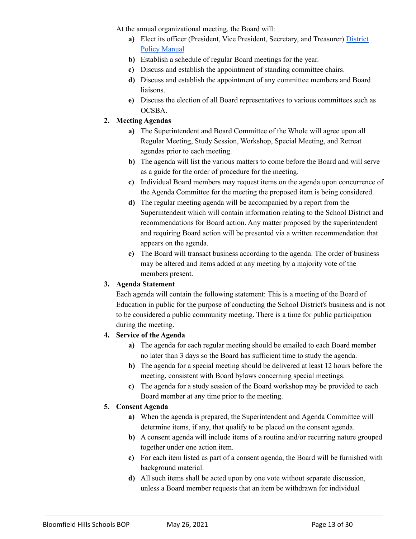At the annual organizational meeting, the Board will:

- **a)** Elect its officer (President, Vice President, Secretary, and Treasurer) [District](https://www.bloomfield.org/about-us/board-of-education/district-policy-manual) Policy [Manual](https://www.bloomfield.org/about-us/board-of-education/district-policy-manual)
- **b)** Establish a schedule of regular Board meetings for the year.
- **c)** Discuss and establish the appointment of standing committee chairs.
- **d)** Discuss and establish the appointment of any committee members and Board liaisons.
- **e)** Discuss the election of all Board representatives to various committees such as OCSBA.

# **2. Meeting Agendas**

- **a)** The Superintendent and Board Committee of the Whole will agree upon all Regular Meeting, Study Session, Workshop, Special Meeting, and Retreat agendas prior to each meeting.
- **b)** The agenda will list the various matters to come before the Board and will serve as a guide for the order of procedure for the meeting.
- **c)** Individual Board members may request items on the agenda upon concurrence of the Agenda Committee for the meeting the proposed item is being considered.
- **d)** The regular meeting agenda will be accompanied by a report from the Superintendent which will contain information relating to the School District and recommendations for Board action. Any matter proposed by the superintendent and requiring Board action will be presented via a written recommendation that appears on the agenda.
- **e)** The Board will transact business according to the agenda. The order of business may be altered and items added at any meeting by a majority vote of the members present.

# **3. Agenda Statement**

Each agenda will contain the following statement: This is a meeting of the Board of Education in public for the purpose of conducting the School District's business and is not to be considered a public community meeting. There is a time for public participation during the meeting.

# **4. Service of the Agenda**

- **a)** The agenda for each regular meeting should be emailed to each Board member no later than 3 days so the Board has sufficient time to study the agenda.
- **b)** The agenda for a special meeting should be delivered at least 12 hours before the meeting, consistent with Board bylaws concerning special meetings.
- **c)** The agenda for a study session of the Board workshop may be provided to each Board member at any time prior to the meeting.

# **5. Consent Agenda**

- **a)** When the agenda is prepared, the Superintendent and Agenda Committee will determine items, if any, that qualify to be placed on the consent agenda.
- **b)** A consent agenda will include items of a routine and/or recurring nature grouped together under one action item.
- **c)** For each item listed as part of a consent agenda, the Board will be furnished with background material.
- **d)** All such items shall be acted upon by one vote without separate discussion, unless a Board member requests that an item be withdrawn for individual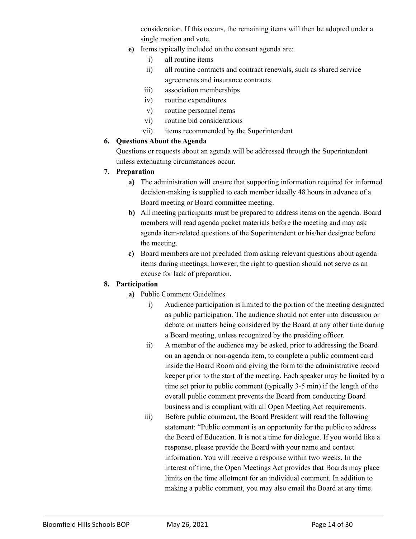consideration. If this occurs, the remaining items will then be adopted under a single motion and vote.

- **e)** Items typically included on the consent agenda are:
	- i) all routine items
	- ii) all routine contracts and contract renewals, such as shared service agreements and insurance contracts
	- iii) association memberships
	- iv) routine expenditures
	- v) routine personnel items
	- vi) routine bid considerations
	- vii) items recommended by the Superintendent

#### **6. Questions About the Agenda**

Questions or requests about an agenda will be addressed through the Superintendent unless extenuating circumstances occur.

#### **7. Preparation**

- **a)** The administration will ensure that supporting information required for informed decision-making is supplied to each member ideally 48 hours in advance of a Board meeting or Board committee meeting.
- **b)** All meeting participants must be prepared to address items on the agenda. Board members will read agenda packet materials before the meeting and may ask agenda item-related questions of the Superintendent or his/her designee before the meeting.
- **c)** Board members are not precluded from asking relevant questions about agenda items during meetings; however, the right to question should not serve as an excuse for lack of preparation.

# **8. Participation**

- **a)** Public Comment Guidelines
	- i) Audience participation is limited to the portion of the meeting designated as public participation. The audience should not enter into discussion or debate on matters being considered by the Board at any other time during a Board meeting, unless recognized by the presiding officer.
	- ii) A member of the audience may be asked, prior to addressing the Board on an agenda or non-agenda item, to complete a public comment card inside the Board Room and giving the form to the administrative record keeper prior to the start of the meeting. Each speaker may be limited by a time set prior to public comment (typically 3-5 min) if the length of the overall public comment prevents the Board from conducting Board business and is compliant with all Open Meeting Act requirements.
	- iii) Before public comment, the Board President will read the following statement: "Public comment is an opportunity for the public to address the Board of Education. It is not a time for dialogue. If you would like a response, please provide the Board with your name and contact information. You will receive a response within two weeks. In the interest of time, the Open Meetings Act provides that Boards may place limits on the time allotment for an individual comment. In addition to making a public comment, you may also email the Board at any time.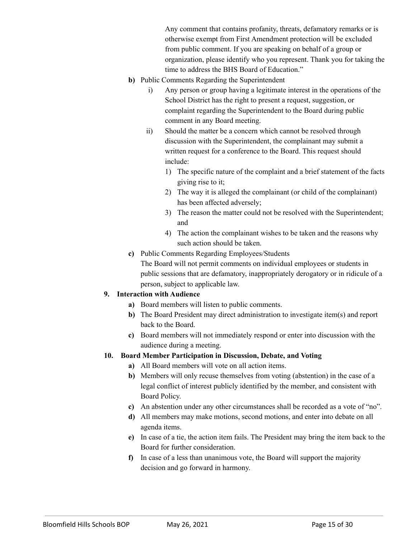Any comment that contains profanity, threats, defamatory remarks or is otherwise exempt from First Amendment protection will be excluded from public comment. If you are speaking on behalf of a group or organization, please identify who you represent. Thank you for taking the time to address the BHS Board of Education."

- **b)** Public Comments Regarding the Superintendent
	- i) Any person or group having a legitimate interest in the operations of the School District has the right to present a request, suggestion, or complaint regarding the Superintendent to the Board during public comment in any Board meeting.
	- ii) Should the matter be a concern which cannot be resolved through discussion with the Superintendent, the complainant may submit a written request for a conference to the Board. This request should include:
		- 1) The specific nature of the complaint and a brief statement of the facts giving rise to it;
		- 2) The way it is alleged the complainant (or child of the complainant) has been affected adversely;
		- 3) The reason the matter could not be resolved with the Superintendent; and
		- 4) The action the complainant wishes to be taken and the reasons why such action should be taken.
- **c)** Public Comments Regarding Employees/Students

The Board will not permit comments on individual employees or students in public sessions that are defamatory, inappropriately derogatory or in ridicule of a person, subject to applicable law.

# **9. Interaction with Audience**

- **a)** Board members will listen to public comments.
- **b)** The Board President may direct administration to investigate item(s) and report back to the Board.
- **c)** Board members will not immediately respond or enter into discussion with the audience during a meeting.

# **10. Board Member Participation in Discussion, Debate, and Voting**

- **a)** All Board members will vote on all action items.
- **b)** Members will only recuse themselves from voting (abstention) in the case of a legal conflict of interest publicly identified by the member, and consistent with Board Policy.
- **c)** An abstention under any other circumstances shall be recorded as a vote of "no".
- **d)** All members may make motions, second motions, and enter into debate on all agenda items.
- **e)** In case of a tie, the action item fails. The President may bring the item back to the Board for further consideration.
- **f)** In case of a less than unanimous vote, the Board will support the majority decision and go forward in harmony.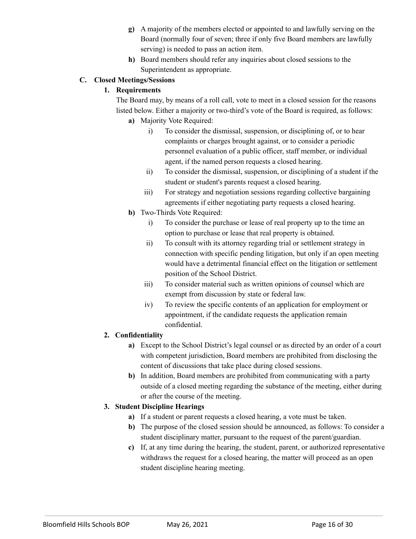- **g)** A majority of the members elected or appointed to and lawfully serving on the Board (normally four of seven; three if only five Board members are lawfully serving) is needed to pass an action item.
- **h)** Board members should refer any inquiries about closed sessions to the Superintendent as appropriate.

# **C. Closed Meetings/Sessions**

# **1. Requirements**

The Board may, by means of a roll call, vote to meet in a closed session for the reasons listed below. Either a majority or two-third's vote of the Board is required, as follows:

- **a)** Majority Vote Required:
	- i) To consider the dismissal, suspension, or disciplining of, or to hear complaints or charges brought against, or to consider a periodic personnel evaluation of a public officer, staff member, or individual agent, if the named person requests a closed hearing.
	- ii) To consider the dismissal, suspension, or disciplining of a student if the student or student's parents request a closed hearing.
	- iii) For strategy and negotiation sessions regarding collective bargaining agreements if either negotiating party requests a closed hearing.
- **b)** Two-Thirds Vote Required:
	- i) To consider the purchase or lease of real property up to the time an option to purchase or lease that real property is obtained.
	- ii) To consult with its attorney regarding trial or settlement strategy in connection with specific pending litigation, but only if an open meeting would have a detrimental financial effect on the litigation or settlement position of the School District.
	- iii) To consider material such as written opinions of counsel which are exempt from discussion by state or federal law.
	- iv) To review the specific contents of an application for employment or appointment, if the candidate requests the application remain confidential.

# **2. Confidentiality**

- **a)** Except to the School District's legal counsel or as directed by an order of a court with competent jurisdiction, Board members are prohibited from disclosing the content of discussions that take place during closed sessions.
- **b)** In addition, Board members are prohibited from communicating with a party outside of a closed meeting regarding the substance of the meeting, either during or after the course of the meeting.

# **3. Student Discipline Hearings**

- **a)** If a student or parent requests a closed hearing, a vote must be taken.
- **b)** The purpose of the closed session should be announced, as follows: To consider a student disciplinary matter, pursuant to the request of the parent/guardian.
- **c)** If, at any time during the hearing, the student, parent, or authorized representative withdraws the request for a closed hearing, the matter will proceed as an open student discipline hearing meeting.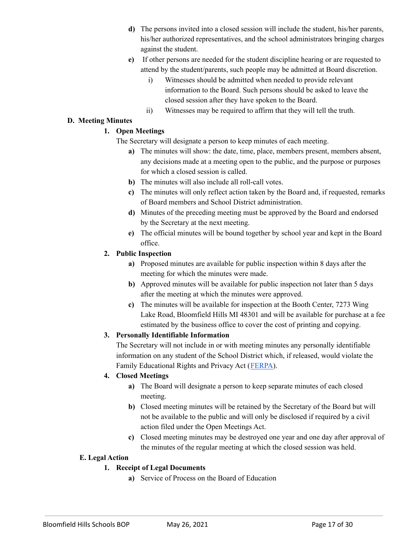- **d)** The persons invited into a closed session will include the student, his/her parents, his/her authorized representatives, and the school administrators bringing charges against the student.
- **e)** If other persons are needed for the student discipline hearing or are requested to attend by the student/parents, such people may be admitted at Board discretion.
	- i) Witnesses should be admitted when needed to provide relevant information to the Board. Such persons should be asked to leave the closed session after they have spoken to the Board.
	- ii) Witnesses may be required to affirm that they will tell the truth.

#### **D. Meeting Minutes**

# **1. Open Meetings**

The Secretary will designate a person to keep minutes of each meeting.

- **a)** The minutes will show: the date, time, place, members present, members absent, any decisions made at a meeting open to the public, and the purpose or purposes for which a closed session is called.
- **b)** The minutes will also include all roll-call votes.
- **c)** The minutes will only reflect action taken by the Board and, if requested, remarks of Board members and School District administration.
- **d)** Minutes of the preceding meeting must be approved by the Board and endorsed by the Secretary at the next meeting.
- **e)** The official minutes will be bound together by school year and kept in the Board office.

# **2. Public Inspection**

- **a)** Proposed minutes are available for public inspection within 8 days after the meeting for which the minutes were made.
- **b)** Approved minutes will be available for public inspection not later than 5 days after the meeting at which the minutes were approved.
- **c)** The minutes will be available for inspection at the Booth Center, 7273 Wing Lake Road, Bloomfield Hills MI 48301 and will be available for purchase at a fee estimated by the business office to cover the cost of printing and copying.

# **3. Personally Identifiable Information**

The Secretary will not include in or with meeting minutes any personally identifiable information on any student of the School District which, if released, would violate the Family Educational Rights and Privacy Act ([FERPA](https://www2.ed.gov/policy/gen/guid/fpco/ferpa/index.html)).

# **4. Closed Meetings**

- **a)** The Board will designate a person to keep separate minutes of each closed meeting.
- **b)** Closed meeting minutes will be retained by the Secretary of the Board but will not be available to the public and will only be disclosed if required by a civil action filed under the Open Meetings Act.
- **c)** Closed meeting minutes may be destroyed one year and one day after approval of the minutes of the regular meeting at which the closed session was held.

# **E. Legal Action**

# **1. Receipt of Legal Documents**

**a)** Service of Process on the Board of Education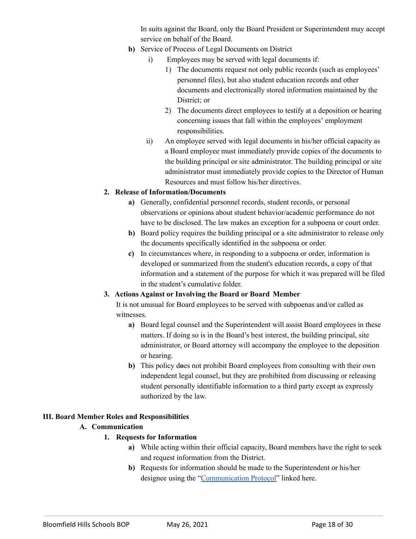In suits against the Board, only the Board President or Superintendent may accept service on behalf of the Board.

- **b)** Service of Process of Legal Documents on District
	- i) Employees may be served with legal documents if:
		- 1) The documents request not only public records (such as employees' personnel files), but also student education records and other documents and electronically stored information maintained by the District; or
		- 2) The documents direct employees to testify at a deposition or hearing concerning issues that fall within the employees' employment responsibilities.
	- ii) An employee served with legal documents in his/her official capacity as a Board employee must immediately provide copies of the documents to the building principal or site administrator. The building principal or site administrator must immediately provide copies to the Director of Human Resources and must follow his/her directives.

# **2. Release of Information/Documents**

- **a)** Generally, confidential personnel records, student records, or personal observations or opinions about student behavior/academic performance do not have to be disclosed. The law makes an exception for a subpoena or court order.
- **b)** Board policy requires the building principal or a site administrator to release only the documents specifically identified in the subpoena or order.
- **c)** In circumstances where, in responding to a subpoena or order, information is developed or summarized from the student's education records, a copy of that information and a statement of the purpose for which it was prepared will be filed in the student's cumulative folder.

# **3. Actions Against or Involving the Board or Board Member**

It is not unusual for Board employees to be served with subpoenas and/or called as witnesses.

- **a)** Board legal counsel and the Superintendent will assist Board employees in these matters. If doing so is in the Board's best interest, the building principal, site administrator, or Board attorney will accompany the employee to the deposition or hearing.
- **b)** This policy d**o**es not prohibit Board employees from consulting with their own independent legal counsel, but they are prohibited from discussing or releasing student personally identifiable information to a third party except as expressly authorized by the law.

# **III. Board Member Roles and Responsibilities**

# **A. Communication**

- **1. Requests for Information**
	- **a)** While acting within their official capacity, Board members have the right to seek and request information from the District.
	- **b)** Requests for information should be made to the Superintendent or his/her designee using the "[Communication](https://drive.google.com/file/d/1zOUfIPbc1lM0zGxjAIeCWjjfSfyBPuif/view?usp=sharing) Protocol" linked here.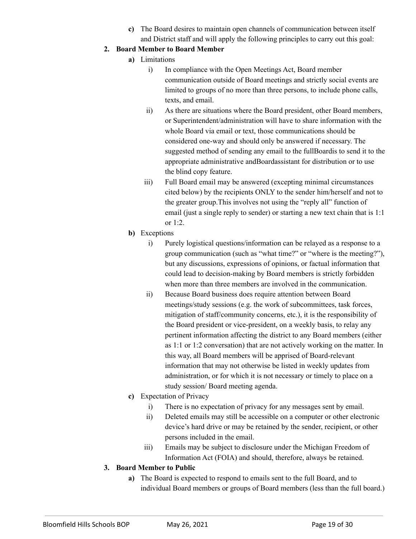**c)** The Board desires to maintain open channels of communication between itself and District staff and will apply the following principles to carry out this goal:

# **2. Board Member to Board Member**

- **a)** Limitations
	- i) In compliance with the Open Meetings Act, Board member communication outside of Board meetings and strictly social events are limited to groups of no more than three persons, to include phone calls, texts, and email.
	- ii) As there are situations where the Board president, other Board members, or Superintendent/administration will have to share information with the whole Board via email or text, those communications should be considered one-way and should only be answered if necessary. The suggested method of sending any email to the fullBoardis to send it to the appropriate administrative andBoardassistant for distribution or to use the blind copy feature.
	- iii) Full Board email may be answered (excepting minimal circumstances cited below) by the recipients ONLY to the sender him/herself and not to the greater group.This involves not using the "reply all" function of email (just a single reply to sender) or starting a new text chain that is 1:1 or 1:2.
- **b)** Exceptions
	- i) Purely logistical questions/information can be relayed as a response to a group communication (such as "what time?" or "where is the meeting?"), but any discussions, expressions of opinions, or factual information that could lead to decision-making by Board members is strictly forbidden when more than three members are involved in the communication.
	- ii) Because Board business does require attention between Board meetings/study sessions (e.g. the work of subcommittees, task forces, mitigation of staff/community concerns, etc.), it is the responsibility of the Board president or vice-president, on a weekly basis, to relay any pertinent information affecting the district to any Board members (either as 1:1 or 1:2 conversation) that are not actively working on the matter. In this way, all Board members will be apprised of Board-relevant information that may not otherwise be listed in weekly updates from administration, or for which it is not necessary or timely to place on a study session/ Board meeting agenda.
- **c)** Expectation of Privacy
	- i) There is no expectation of privacy for any messages sent by email.
	- ii) Deleted emails may still be accessible on a computer or other electronic device's hard drive or may be retained by the sender, recipient, or other persons included in the email.
	- iii) Emails may be subject to disclosure under the Michigan Freedom of Information Act (FOIA) and should, therefore, always be retained.

# **3. Board Member to Public**

**a)** The Board is expected to respond to emails sent to the full Board, and to individual Board members or groups of Board members (less than the full board.)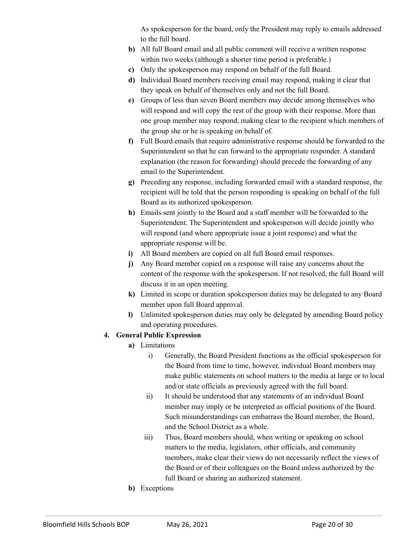As spokesperson for the board, only the President may reply to emails addressed to the full board.

- **b)** All full Board email and all public comment will receive a written response within two weeks (although a shorter time period is preferable.)
- **c)** Only the spokesperson may respond on behalf of the full Board.
- **d)** Individual Board members receiving email may respond, making it clear that they speak on behalf of themselves only and not the full Board.
- **e)** Groups of less than seven Board members may decide among themselves who will respond and will copy the rest of the group with their response. More than one group member may respond, making clear to the recipient which members of the group she or he is speaking on behalf of.
- **f)** Full Board emails that require administrative response should be forwarded to the Superintendent so that he can forward to the appropriate responder. A standard explanation (the reason for forwarding) should precede the forwarding of any email to the Superintendent.
- **g)** Preceding any response, including forwarded email with a standard response, the recipient will be told that the person responding is speaking on behalf of the full Board as its authorized spokesperson.
- **h)** Emails sent jointly to the Board and a staff member will be forwarded to the Superintendent. The Superintendent and spokesperson will decide jointly who will respond (and where appropriate issue a joint response) and what the appropriate response will be.
- **i)** All Board members are copied on all full Board email responses.
- **j)** Any Board member copied on a response will raise any concerns about the content of the response with the spokesperson. If not resolved, the full Board will discuss it in an open meeting.
- **k)** Limited in scope or duration spokesperson duties may be delegated to any Board member upon full Board approval.
- **l)** Unlimited spokesperson duties may only be delegated by amending Board policy and operating procedures.

# **4. General Public Expression**

- **a)** Limitations
	- i) Generally, the Board President functions as the official spokesperson for the Board from time to time, however, individual Board members may make public statements on school matters to the media at large or to local and/or state officials as previously agreed with the full board.
	- ii) It should be understood that any statements of an individual Board member may imply or be interpreted as official positions of the Board. Such misunderstandings can embarrass the Board member, the Board, and the School District as a whole.
	- iii) Thus, Board members should, when writing or speaking on school matters to the media, legislators, other officials, and community members, make clear their views do not necessarily reflect the views of the Board or of their colleagues on the Board unless authorized by the full Board or sharing an authorized statement.
- **b)** Exceptions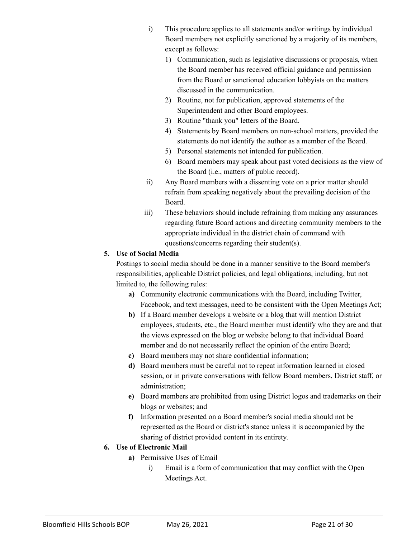- i) This procedure applies to all statements and/or writings by individual Board members not explicitly sanctioned by a majority of its members, except as follows:
	- 1) Communication, such as legislative discussions or proposals, when the Board member has received official guidance and permission from the Board or sanctioned education lobbyists on the matters discussed in the communication.
	- 2) Routine, not for publication, approved statements of the Superintendent and other Board employees.
	- 3) Routine "thank you" letters of the Board.
	- 4) Statements by Board members on non-school matters, provided the statements do not identify the author as a member of the Board.
	- 5) Personal statements not intended for publication.
	- 6) Board members may speak about past voted decisions as the view of the Board (i.e., matters of public record).
- ii) Any Board members with a dissenting vote on a prior matter should refrain from speaking negatively about the prevailing decision of the Board.
- iii) These behaviors should include refraining from making any assurances regarding future Board actions and directing community members to the appropriate individual in the district chain of command with questions/concerns regarding their student(s).

# **5. Use of Social Media**

Postings to social media should be done in a manner sensitive to the Board member's responsibilities, applicable District policies, and legal obligations, including, but not limited to, the following rules:

- **a)** Community electronic communications with the Board, including Twitter, Facebook, and text messages, need to be consistent with the Open Meetings Act;
- **b)** If a Board member develops a website or a blog that will mention District employees, students, etc., the Board member must identify who they are and that the views expressed on the blog or website belong to that individual Board member and do not necessarily reflect the opinion of the entire Board;
- **c)** Board members may not share confidential information;
- **d)** Board members must be careful not to repeat information learned in closed session, or in private conversations with fellow Board members, District staff, or administration;
- **e)** Board members are prohibited from using District logos and trademarks on their blogs or websites; and
- **f)** Information presented on a Board member's social media should not be represented as the Board or district's stance unless it is accompanied by the sharing of district provided content in its entirety.

# **6. Use of Electronic Mail**

- **a)** Permissive Uses of Email
	- i) Email is a form of communication that may conflict with the Open Meetings Act.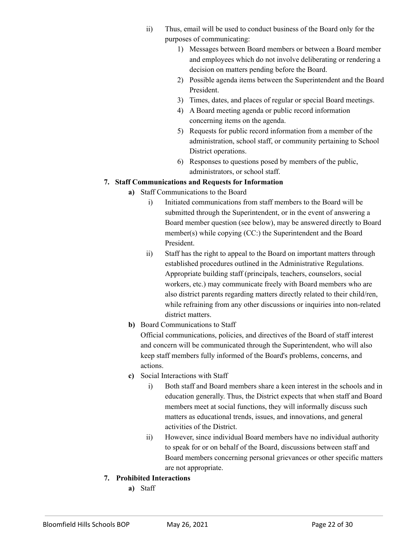- ii) Thus, email will be used to conduct business of the Board only for the purposes of communicating:
	- 1) Messages between Board members or between a Board member and employees which do not involve deliberating or rendering a decision on matters pending before the Board.
	- 2) Possible agenda items between the Superintendent and the Board President.
	- 3) Times, dates, and places of regular or special Board meetings.
	- 4) A Board meeting agenda or public record information concerning items on the agenda.
	- 5) Requests for public record information from a member of the administration, school staff, or community pertaining to School District operations.
	- 6) Responses to questions posed by members of the public, administrators, or school staff.

# **7. Staff Communications and Requests for Information**

- **a)** Staff Communications to the Board
	- i) Initiated communications from staff members to the Board will be submitted through the Superintendent, or in the event of answering a Board member question (see below), may be answered directly to Board member(s) while copying (CC:) the Superintendent and the Board President.
	- ii) Staff has the right to appeal to the Board on important matters through established procedures outlined in the Administrative Regulations. Appropriate building staff (principals, teachers, counselors, social workers, etc.) may communicate freely with Board members who are also district parents regarding matters directly related to their child/ren, while refraining from any other discussions or inquiries into non-related district matters.
- **b)** Board Communications to Staff

Official communications, policies, and directives of the Board of staff interest and concern will be communicated through the Superintendent, who will also keep staff members fully informed of the Board's problems, concerns, and actions.

- **c)** Social Interactions with Staff
	- i) Both staff and Board members share a keen interest in the schools and in education generally. Thus, the District expects that when staff and Board members meet at social functions, they will informally discuss such matters as educational trends, issues, and innovations, and general activities of the District.
	- ii) However, since individual Board members have no individual authority to speak for or on behalf of the Board, discussions between staff and Board members concerning personal grievances or other specific matters are not appropriate.
- **7. Prohibited Interactions**
	- **a)** Staff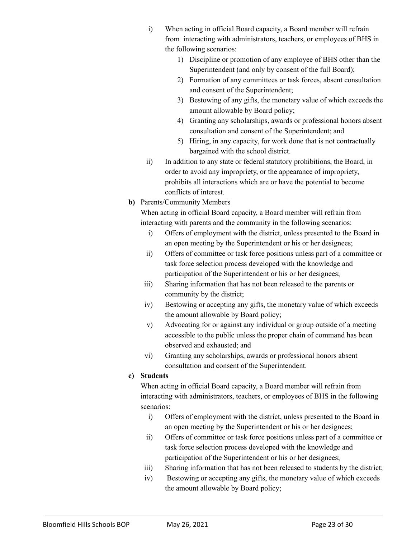- i) When acting in official Board capacity, a Board member will refrain from interacting with administrators, teachers, or employees of BHS in the following scenarios:
	- 1) Discipline or promotion of any employee of BHS other than the Superintendent (and only by consent of the full Board);
	- 2) Formation of any committees or task forces, absent consultation and consent of the Superintendent;
	- 3) Bestowing of any gifts, the monetary value of which exceeds the amount allowable by Board policy;
	- 4) Granting any scholarships, awards or professional honors absent consultation and consent of the Superintendent; and
	- 5) Hiring, in any capacity, for work done that is not contractually bargained with the school district.
- ii) In addition to any state or federal statutory prohibitions, the Board, in order to avoid any impropriety, or the appearance of impropriety, prohibits all interactions which are or have the potential to become conflicts of interest.
- **b)** Parents/Community Members

When acting in official Board capacity, a Board member will refrain from interacting with parents and the community in the following scenarios:

- i) Offers of employment with the district, unless presented to the Board in an open meeting by the Superintendent or his or her designees;
- ii) Offers of committee or task force positions unless part of a committee or task force selection process developed with the knowledge and participation of the Superintendent or his or her designees;
- iii) Sharing information that has not been released to the parents or community by the district;
- iv) Bestowing or accepting any gifts, the monetary value of which exceeds the amount allowable by Board policy;
- v) Advocating for or against any individual or group outside of a meeting accessible to the public unless the proper chain of command has been observed and exhausted; and
- vi) Granting any scholarships, awards or professional honors absent consultation and consent of the Superintendent.

#### **c) Students**

When acting in official Board capacity, a Board member will refrain from interacting with administrators, teachers, or employees of BHS in the following scenarios:

- i) Offers of employment with the district, unless presented to the Board in an open meeting by the Superintendent or his or her designees;
- ii) Offers of committee or task force positions unless part of a committee or task force selection process developed with the knowledge and participation of the Superintendent or his or her designees;
- iii) Sharing information that has not been released to students by the district;
- iv) Bestowing or accepting any gifts, the monetary value of which exceeds the amount allowable by Board policy;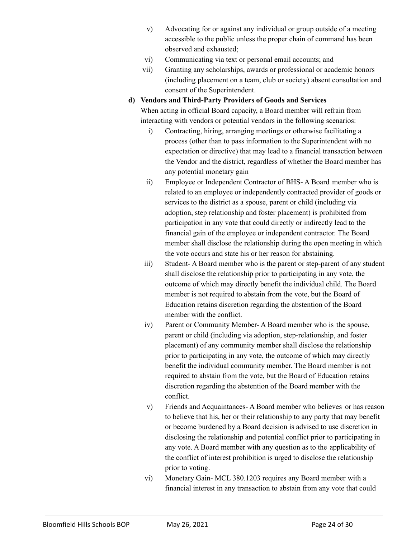- v) Advocating for or against any individual or group outside of a meeting accessible to the public unless the proper chain of command has been observed and exhausted;
- vi) Communicating via text or personal email accounts; and
- vii) Granting any scholarships, awards or professional or academic honors (including placement on a team, club or society) absent consultation and consent of the Superintendent.

#### **d) Vendors and Third-Party Providers of Goods and Services**

When acting in official Board capacity, a Board member will refrain from interacting with vendors or potential vendors in the following scenarios:

- i) Contracting, hiring, arranging meetings or otherwise facilitating a process (other than to pass information to the Superintendent with no expectation or directive) that may lead to a financial transaction between the Vendor and the district, regardless of whether the Board member has any potential monetary gain
- ii) Employee or Independent Contractor of BHS- A Board member who is related to an employee or independently contracted provider of goods or services to the district as a spouse, parent or child (including via adoption, step relationship and foster placement) is prohibited from participation in any vote that could directly or indirectly lead to the financial gain of the employee or independent contractor. The Board member shall disclose the relationship during the open meeting in which the vote occurs and state his or her reason for abstaining.
- iii) Student- A Board member who is the parent or step-parent of any student shall disclose the relationship prior to participating in any vote, the outcome of which may directly benefit the individual child. The Board member is not required to abstain from the vote, but the Board of Education retains discretion regarding the abstention of the Board member with the conflict.
- iv) Parent or Community Member- A Board member who is the spouse, parent or child (including via adoption, step-relationship, and foster placement) of any community member shall disclose the relationship prior to participating in any vote, the outcome of which may directly benefit the individual community member. The Board member is not required to abstain from the vote, but the Board of Education retains discretion regarding the abstention of the Board member with the conflict.
- v) Friends and Acquaintances- A Board member who believes or has reason to believe that his, her or their relationship to any party that may benefit or become burdened by a Board decision is advised to use discretion in disclosing the relationship and potential conflict prior to participating in any vote. A Board member with any question as to the applicability of the conflict of interest prohibition is urged to disclose the relationship prior to voting.
- vi) Monetary Gain- MCL 380.1203 requires any Board member with a financial interest in any transaction to abstain from any vote that could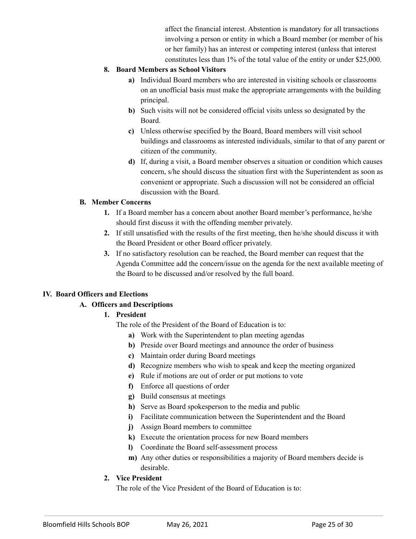affect the financial interest. Abstention is mandatory for all transactions involving a person or entity in which a Board member (or member of his or her family) has an interest or competing interest (unless that interest constitutes less than 1% of the total value of the entity or under \$25,000.

#### **8. Board Members as School Visitors**

- **a)** Individual Board members who are interested in visiting schools or classrooms on an unofficial basis must make the appropriate arrangements with the building principal.
- **b)** Such visits will not be considered official visits unless so designated by the Board.
- **c)** Unless otherwise specified by the Board, Board members will visit school buildings and classrooms as interested individuals, similar to that of any parent or citizen of the community.
- **d)** If, during a visit, a Board member observes a situation or condition which causes concern, s/he should discuss the situation first with the Superintendent as soon as convenient or appropriate. Such a discussion will not be considered an official discussion with the Board.

#### **B. Member Concerns**

- **1.** If a Board member has a concern about another Board member's performance, he/she should first discuss it with the offending member privately.
- **2.** If still unsatisfied with the results of the first meeting, then he/she should discuss it with the Board President or other Board officer privately.
- **3.** If no satisfactory resolution can be reached, the Board member can request that the Agenda Committee add the concern/issue on the agenda for the next available meeting of the Board to be discussed and/or resolved by the full board.

# **IV. Board Officers and Elections**

# **A. Officers and Descriptions**

# **1. President**

The role of the President of the Board of Education is to:

- **a)** Work with the Superintendent to plan meeting agendas
- **b)** Preside over Board meetings and announce the order of business
- **c)** Maintain order during Board meetings
- **d)** Recognize members who wish to speak and keep the meeting organized
- **e)** Rule if motions are out of order or put motions to vote
- **f)** Enforce all questions of order
- **g)** Build consensus at meetings
- **h)** Serve as Board spokesperson to the media and public
- **i)** Facilitate communication between the Superintendent and the Board
- **j)** Assign Board members to committee
- **k)** Execute the orientation process for new Board members
- **l)** Coordinate the Board self-assessment process
- **m)** Any other duties or responsibilities a majority of Board members decide is desirable.

# **2. Vice President**

The role of the Vice President of the Board of Education is to: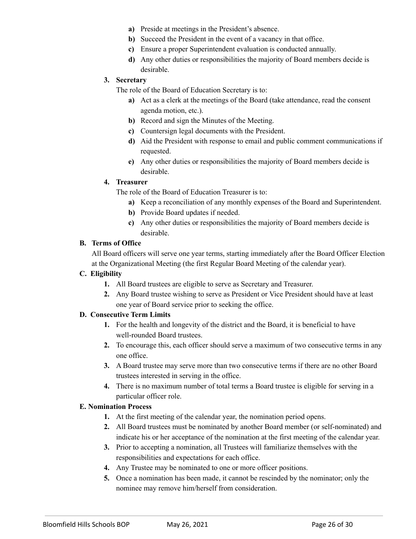- **a)** Preside at meetings in the President's absence.
- **b)** Succeed the President in the event of a vacancy in that office.
- **c)** Ensure a proper Superintendent evaluation is conducted annually.
- **d)** Any other duties or responsibilities the majority of Board members decide is desirable.

#### **3. Secretary**

The role of the Board of Education Secretary is to:

- **a)** Act as a clerk at the meetings of the Board (take attendance, read the consent agenda motion, etc.).
- **b)** Record and sign the Minutes of the Meeting.
- **c)** Countersign legal documents with the President.
- **d)** Aid the President with response to email and public comment communications if requested.
- **e)** Any other duties or responsibilities the majority of Board members decide is desirable.

#### **4. Treasurer**

The role of the Board of Education Treasurer is to:

- **a)** Keep a reconciliation of any monthly expenses of the Board and Superintendent.
- **b)** Provide Board updates if needed.
- **c)** Any other duties or responsibilities the majority of Board members decide is desirable.

#### **B. Terms of Office**

All Board officers will serve one year terms, starting immediately after the Board Officer Election at the Organizational Meeting (the first Regular Board Meeting of the calendar year).

#### **C. Eligibility**

- **1.** All Board trustees are eligible to serve as Secretary and Treasurer.
- **2.** Any Board trustee wishing to serve as President or Vice President should have at least one year of Board service prior to seeking the office.

# **D. Consecutive Term Limits**

- **1.** For the health and longevity of the district and the Board, it is beneficial to have well-rounded Board trustees.
- **2.** To encourage this, each officer should serve a maximum of two consecutive terms in any one office.
- **3.** A Board trustee may serve more than two consecutive terms if there are no other Board trustees interested in serving in the office.
- **4.** There is no maximum number of total terms a Board trustee is eligible for serving in a particular officer role.

# **E. Nomination Process**

- **1.** At the first meeting of the calendar year, the nomination period opens.
- **2.** All Board trustees must be nominated by another Board member (or self-nominated) and indicate his or her acceptance of the nomination at the first meeting of the calendar year.
- **3.** Prior to accepting a nomination, all Trustees will familiarize themselves with the responsibilities and expectations for each office.
- **4.** Any Trustee may be nominated to one or more officer positions.
- **5.** Once a nomination has been made, it cannot be rescinded by the nominator; only the nominee may remove him/herself from consideration.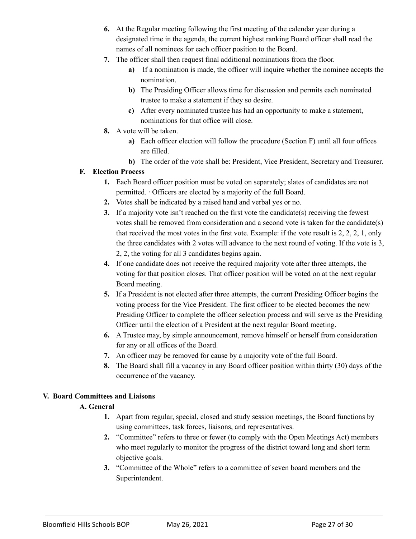- **6.** At the Regular meeting following the first meeting of the calendar year during a designated time in the agenda, the current highest ranking Board officer shall read the names of all nominees for each officer position to the Board.
- **7.** The officer shall then request final additional nominations from the floor.
	- **a)** If a nomination is made, the officer will inquire whether the nominee accepts the nomination.
	- **b)** The Presiding Officer allows time for discussion and permits each nominated trustee to make a statement if they so desire.
	- **c)** After every nominated trustee has had an opportunity to make a statement, nominations for that office will close.
- **8.** A vote will be taken.
	- **a)** Each officer election will follow the procedure (Section F) until all four offices are filled.
	- **b)** The order of the vote shall be: President, Vice President, Secretary and Treasurer.

#### **F. Election Process**

- **1.** Each Board officer position must be voted on separately; slates of candidates are not permitted. ∙ Officers are elected by a majority of the full Board.
- **2.** Votes shall be indicated by a raised hand and verbal yes or no.
- **3.** If a majority vote isn't reached on the first vote the candidate(s) receiving the fewest votes shall be removed from consideration and a second vote is taken for the candidate(s) that received the most votes in the first vote. Example: if the vote result is 2, 2, 2, 1, only the three candidates with 2 votes will advance to the next round of voting. If the vote is 3, 2, 2, the voting for all 3 candidates begins again.
- **4.** If one candidate does not receive the required majority vote after three attempts, the voting for that position closes. That officer position will be voted on at the next regular Board meeting.
- **5.** If a President is not elected after three attempts, the current Presiding Officer begins the voting process for the Vice President. The first officer to be elected becomes the new Presiding Officer to complete the officer selection process and will serve as the Presiding Officer until the election of a President at the next regular Board meeting.
- **6.** A Trustee may, by simple announcement, remove himself or herself from consideration for any or all offices of the Board.
- **7.** An officer may be removed for cause by a majority vote of the full Board.
- **8.** The Board shall fill a vacancy in any Board officer position within thirty (30) days of the occurrence of the vacancy.

#### **V. Board Committees and Liaisons**

# **A. General**

- **1.** Apart from regular, special, closed and study session meetings, the Board functions by using committees, task forces, liaisons, and representatives.
- **2.** "Committee" refers to three or fewer (to comply with the Open Meetings Act) members who meet regularly to monitor the progress of the district toward long and short term objective goals.
- **3.** "Committee of the Whole" refers to a committee of seven board members and the Superintendent.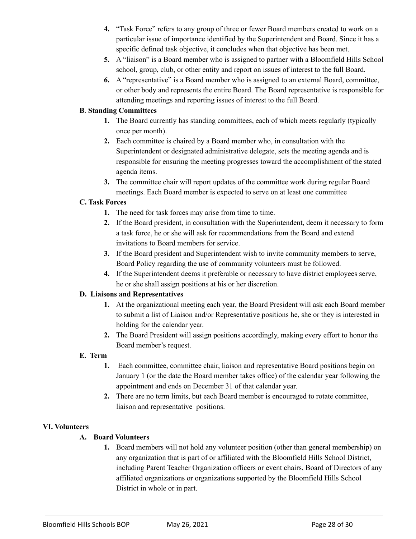- **4.** "Task Force" refers to any group of three or fewer Board members created to work on a particular issue of importance identified by the Superintendent and Board. Since it has a specific defined task objective, it concludes when that objective has been met.
- **5.** A "liaison" is a Board member who is assigned to partner with a Bloomfield Hills School school, group, club, or other entity and report on issues of interest to the full Board.
- **6.** A "representative" is a Board member who is assigned to an external Board, committee, or other body and represents the entire Board. The Board representative is responsible for attending meetings and reporting issues of interest to the full Board.

#### **B**. **Standing Committees**

- **1.** The Board currently has standing committees, each of which meets regularly (typically once per month).
- **2.** Each committee is chaired by a Board member who, in consultation with the Superintendent or designated administrative delegate, sets the meeting agenda and is responsible for ensuring the meeting progresses toward the accomplishment of the stated agenda items.
- **3.** The committee chair will report updates of the committee work during regular Board meetings. Each Board member is expected to serve on at least one committee

# **C. Task Forces**

- **1.** The need for task forces may arise from time to time.
- **2.** If the Board president, in consultation with the Superintendent, deem it necessary to form a task force, he or she will ask for recommendations from the Board and extend invitations to Board members for service.
- **3.** If the Board president and Superintendent wish to invite community members to serve, Board Policy regarding the use of community volunteers must be followed.
- **4.** If the Superintendent deems it preferable or necessary to have district employees serve, he or she shall assign positions at his or her discretion.

#### **D. Liaisons and Representatives**

- **1.** At the organizational meeting each year, the Board President will ask each Board member to submit a list of Liaison and/or Representative positions he, she or they is interested in holding for the calendar year.
- **2.** The Board President will assign positions accordingly, making every effort to honor the Board member's request.

#### **E. Term**

- **1.** Each committee, committee chair, liaison and representative Board positions begin on January 1 (or the date the Board member takes office) of the calendar year following the appointment and ends on December 31 of that calendar year.
- **2.** There are no term limits, but each Board member is encouraged to rotate committee, liaison and representative positions.

#### **VI. Volunteers**

#### **A. Board Volunteers**

**1.** Board members will not hold any volunteer position (other than general membership) on any organization that is part of or affiliated with the Bloomfield Hills School District, including Parent Teacher Organization officers or event chairs, Board of Directors of any affiliated organizations or organizations supported by the Bloomfield Hills School District in whole or in part.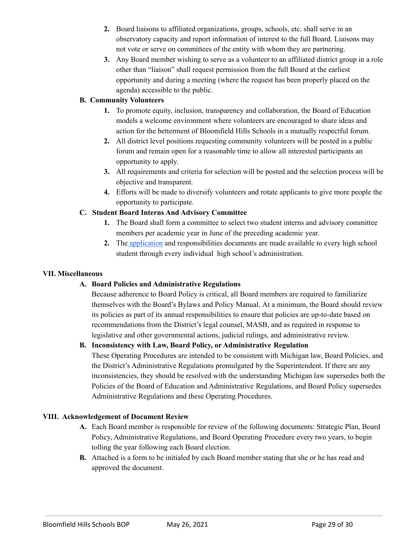- **2.** Board liaisons to affiliated organizations, groups, schools, etc. shall serve in an observatory capacity and report information of interest to the full Board. Liaisons may not vote or serve on committees of the entity with whom they are partnering.
- **3.** Any Board member wishing to serve as a volunteer to an affiliated district group in a role other than "liaison" shall request permission from the full Board at the earliest opportunity and during a meeting (where the request has been properly placed on the agenda) accessible to the public.

#### **B. Community Volunteers**

- **1.** To promote equity, inclusion, transparency and collaboration, the Board of Education models a welcome environment where volunteers are encouraged to share ideas and action for the betterment of Bloomfield Hills Schools in a mutually respectful forum.
- **2.** All district level positions requesting community volunteers will be posted in a public forum and remain open for a reasonable time to allow all interested participants an opportunity to apply.
- **3.** All requirements and criteria for selection will be posted and the selection process will be objective and transparent.
- **4.** Efforts will be made to diversify volunteers and rotate applicants to give more people the opportunity to participate.

# **C. Student Board Interns And Advisory Committee**

- **1.** The Board shall form a committee to select two student interns and advisory committee members per academic year in June of the preceding academic year.
- **2.** The [application](https://docs.google.com/document/d/13WefHlEsjRQFTcW72GwRYbc8EbPQNO7X/edit) and responsibilities documents are made available to every high school student through every individual high school's administration.

#### **VII. Miscellaneous**

# **A. Board Policies and Administrative Regulations**

Because adherence to Board Policy is critical, all Board members are required to familiarize themselves with the Board's Bylaws and Policy Manual. At a minimum, the Board should review its policies as part of its annual responsibilities to ensure that policies are up-to-date based on recommendations from the District's legal counsel, MASB, and as required in response to legislative and other governmental actions, judicial rulings, and administrative review.

# **B. Inconsistency with Law, Board Policy, or Administrative Regulation**

These Operating Procedures are intended to be consistent with Michigan law, Board Policies, and the District's Administrative Regulations promulgated by the Superintendent. If there are any inconsistencies, they should be resolved with the understanding Michigan law supersedes both the Policies of the Board of Education and Administrative Regulations, and Board Policy supersedes Administrative Regulations and these Operating Procedures.

#### **VIII. Acknowledgement of Document Review**

- **A.** Each Board member is responsible for review of the following documents: Strategic Plan, Board Policy, Administrative Regulations, and Board Operating Procedure every two years, to begin tolling the year following each Board election.
- **B.** Attached is a form to be initialed by each Board member stating that she or he has read and approved the document.